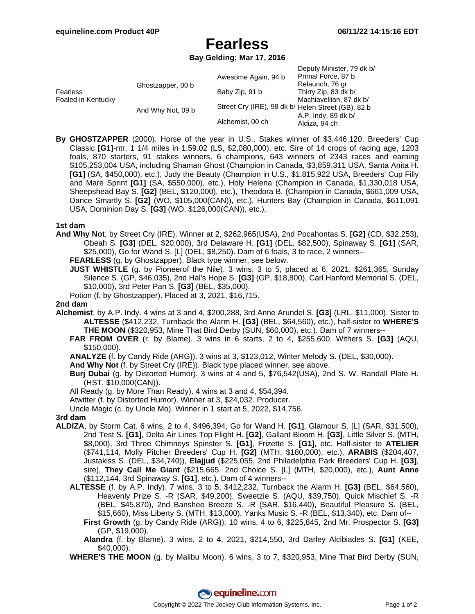## **Fearless**

**Bay Gelding; Mar 17, 2016**

|                                       |                   | Awesome Again, 94 b                                | Deputy Minister, 79 dk b/<br>Primal Force, 87 b |
|---------------------------------------|-------------------|----------------------------------------------------|-------------------------------------------------|
| <b>Fearless</b><br>Foaled in Kentucky | Ghostzapper, 00 b |                                                    | Relaunch, 76 gr                                 |
|                                       |                   | Baby Zip, 91 b                                     | Thirty Zip, 83 dk b/                            |
|                                       |                   |                                                    | Machiavellian, 87 dk b/                         |
|                                       | And Why Not, 09 b | Street Cry (IRE), 98 dk b/ Helen Street (GB), 82 b |                                                 |
|                                       |                   |                                                    | A.P. Indy, 89 dk b/                             |
|                                       |                   | Alchemist, 00 ch                                   | Aldiza, 94 ch                                   |

**By GHOSTZAPPER** (2000). Horse of the year in U.S., Stakes winner of \$3,446,120, Breeders' Cup Classic **[G1]**-ntr, 1 1/4 miles in 1:59.02 (LS, \$2,080,000), etc. Sire of 14 crops of racing age, 1203 foals, 870 starters, 91 stakes winners, 6 champions, 643 winners of 2343 races and earning \$105,253,004 USA, including Shaman Ghost (Champion in Canada, \$3,859,311 USA, Santa Anita H. **[G1]** (SA, \$450,000), etc.), Judy the Beauty (Champion in U.S., \$1,815,922 USA, Breeders' Cup Filly and Mare Sprint **[G1]** (SA, \$550,000), etc.), Holy Helena (Champion in Canada, \$1,330,018 USA, Sheepshead Bay S. **[G2]** (BEL, \$120,000), etc.), Theodora B. (Champion in Canada, \$661,009 USA, Dance Smartly S. **[G2]** (WO, \$105,000(CAN)), etc.), Hunters Bay (Champion in Canada, \$611,091 USA, Dominion Day S. **[G3]** (WO, \$126,000(CAN)), etc.).

**1st dam**

**And Why Not**, by Street Cry (IRE). Winner at 2, \$262,965(USA), 2nd Pocahontas S. **[G2]** (CD, \$32,253), Obeah S. **[G3]** (DEL, \$20,000), 3rd Delaware H. **[G1]** (DEL, \$82,500), Spinaway S. **[G1]** (SAR, \$25,000), Go for Wand S. [L] (DEL, \$8,250). Dam of 6 foals, 3 to race, 2 winners--

**FEARLESS** (g. by Ghostzapper). Black type winner, see below.

**JUST WHISTLE** (g. by Pioneerof the Nile). 3 wins, 3 to 5, placed at 6, 2021, \$261,365, Sunday Silence S. (GP, \$46,035), 2nd Hal's Hope S. **[G3]** (GP, \$18,800), Carl Hanford Memorial S. (DEL, \$10,000), 3rd Peter Pan S. **[G3]** (BEL, \$35,000).

Potion (f. by Ghostzapper). Placed at 3, 2021, \$16,715.

## **2nd dam**

- **Alchemist**, by A.P. Indy. 4 wins at 3 and 4, \$200,288, 3rd Anne Arundel S. **[G3]** (LRL, \$11,000). Sister to **ALTESSE** (\$412,232, Turnback the Alarm H. **[G3]** (BEL, \$64,560), etc.), half-sister to **WHERE'S THE MOON** (\$320,953, Mine That Bird Derby (SUN, \$60,000), etc.). Dam of 7 winners--
	- **FAR FROM OVER** (r. by Blame). 3 wins in 6 starts, 2 to 4, \$255,600, Withers S. **[G3]** (AQU, \$150,000).

**ANALYZE** (f. by Candy Ride (ARG)). 3 wins at 3, \$123,012, Winter Melody S. (DEL, \$30,000).

**And Why Not** (f. by Street Cry (IRE)). Black type placed winner, see above.

- **Burj Dubai** (g. by Distorted Humor). 3 wins at 4 and 5, \$76,542(USA), 2nd S. W. Randall Plate H. (HST, \$10,000(CAN)).
- All Ready (g. by More Than Ready). 4 wins at 3 and 4, \$54,394.

Atwitter (f. by Distorted Humor). Winner at 3, \$24,032. Producer.

Uncle Magic (c. by Uncle Mo). Winner in 1 start at 5, 2022, \$14,756.

**3rd dam**

- **ALDIZA**, by Storm Cat. 6 wins, 2 to 4, \$496,394, Go for Wand H. **[G1]**, Glamour S. [L] (SAR, \$31,500), 2nd Test S. **[G1]**, Delta Air Lines Top Flight H. **[G2]**, Gallant Bloom H. **[G3]**, Little Silver S. (MTH, \$8,000), 3rd Three Chimneys Spinster S. **[G1]**, Frizette S. **[G1]**, etc. Half-sister to **ATELIER** (\$741,114, Molly Pitcher Breeders' Cup H. **[G2]** (MTH, \$180,000), etc.), **ARABIS** (\$204,407, Justakiss S. (DEL, \$34,740)), **Elajjud** (\$225,055, 2nd Philadelphia Park Breeders' Cup H. **[G3]**, sire), **They Call Me Giant** (\$215,665, 2nd Choice S. [L] (MTH, \$20,000), etc.), **Aunt Anne** (\$112,144, 3rd Spinaway S. **[G1]**, etc.). Dam of 4 winners--
	- **ALTESSE** (f. by A.P. Indy). 7 wins, 3 to 5, \$412,232, Turnback the Alarm H. **[G3]** (BEL, \$64,560), Heavenly Prize S. -R (SAR, \$49,200), Sweetzie S. (AQU, \$39,750), Quick Mischief S. -R (BEL, \$45,870), 2nd Banshee Breeze S. -R (SAR, \$16,440), Beautiful Pleasure S. (BEL, \$15,660), Miss Liberty S. (MTH, \$13,000), Yanks Music S. -R (BEL, \$13,340), etc. Dam of--
		- **First Growth** (g. by Candy Ride (ARG)). 10 wins, 4 to 6, \$225,845, 2nd Mr. Prospector S. **[G3]** (GP, \$19,000).

**Alandra** (f. by Blame). 3 wins, 2 to 4, 2021, \$214,550, 3rd Darley Alcibiades S. **[G1]** (KEE, \$40,000).

**WHERE'S THE MOON** (g. by Malibu Moon). 6 wins, 3 to 7, \$320,953, Mine That Bird Derby (SUN,